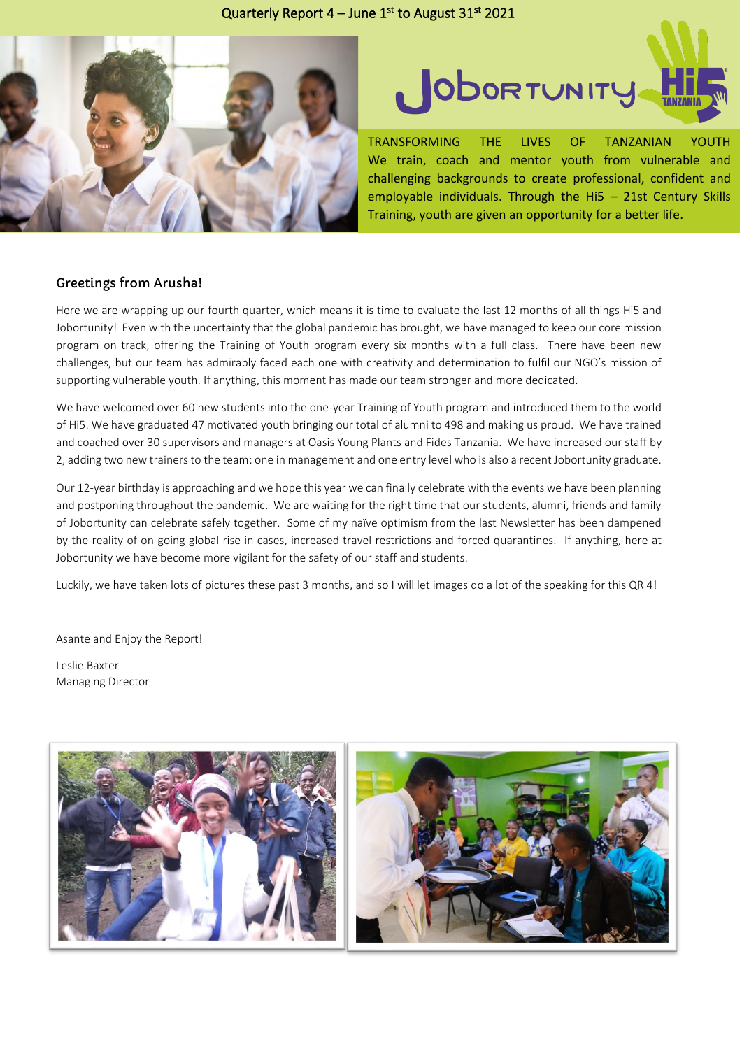## Quarterly Report  $4 -$  June  $1<sup>st</sup>$  to August 31 $<sup>st</sup>$  2021</sup>





TRANSFORMING THE LIVES OF TANZANIAN YOUTH We train, coach and mentor youth from vulnerable and challenging backgrounds to create professional, confident and employable individuals. Through the Hi5 – 21st Century Skills Training, youth are given an opportunity for a better life.

## Greetings from Arusha!

Here we are wrapping up our fourth quarter, which means it is time to evaluate the last 12 months of all things Hi5 and Jobortunity! Even with the uncertainty that the global pandemic has brought, we have managed to keep our core mission program on track, offering the Training of Youth program every six months with a full class. There have been new challenges, but our team has admirably faced each one with creativity and determination to fulfil our NGO's mission of supporting vulnerable youth. If anything, this moment has made our team stronger and more dedicated.

We have welcomed over 60 new students into the one-year Training of Youth program and introduced them to the world of Hi5. We have graduated 47 motivated youth bringing our total of alumni to 498 and making us proud. We have trained and coached over 30 supervisors and managers at Oasis Young Plants and Fides Tanzania. We have increased our staff by 2, adding two new trainers to the team: one in management and one entry level who is also a recent Jobortunity graduate.

Our 12-year birthday is approaching and we hope this year we can finally celebrate with the events we have been planning and postponing throughout the pandemic. We are waiting for the right time that our students, alumni, friends and family of Jobortunity can celebrate safely together. Some of my naïve optimism from the last Newsletter has been dampened by the reality of on-going global rise in cases, increased travel restrictions and forced quarantines. If anything, here at Jobortunity we have become more vigilant for the safety of our staff and students.

Luckily, we have taken lots of pictures these past 3 months, and so I will let images do a lot of the speaking for this QR 4!

Asante and Enjoy the Report!

Leslie Baxter Managing Director

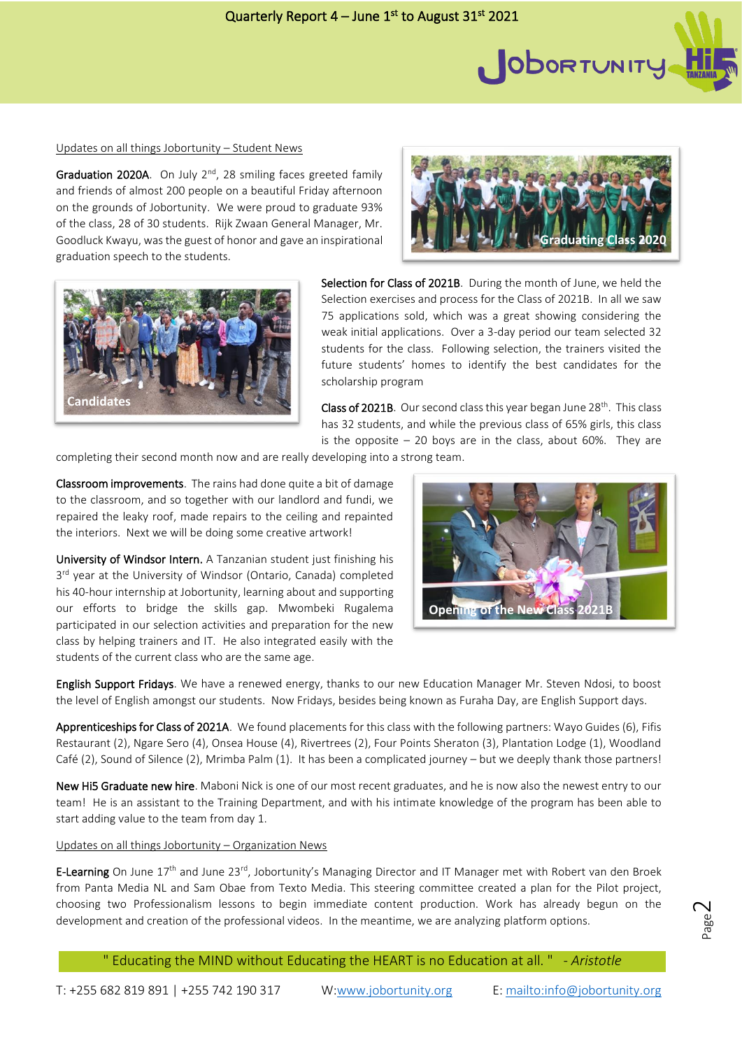

Graduation 2020A. On July  $2<sup>nd</sup>$ , 28 smiling faces greeted family and friends of almost 200 people on a beautiful Friday afternoon on the grounds of Jobortunity. We were proud to graduate 93% of the class, 28 of 30 students. Rijk Zwaan General Manager, Mr. Goodluck Kwayu, was the guest of honor and gave an inspirational graduation speech to the students.



Class of 2021B. Our second class this year began June 28<sup>th</sup>. This class has 32 students, and while the previous class of 65% girls, this class is the opposite  $-20$  boys are in the class, about 60%. They are

completing their second month now and are really developing into a strong team.

Classroom improvements. The rains had done quite a bit of damage to the classroom, and so together with our landlord and fundi, we repaired the leaky roof, made repairs to the ceiling and repainted the interiors. Next we will be doing some creative artwork!

University of Windsor Intern. A Tanzanian student just finishing his 3<sup>rd</sup> year at the University of Windsor (Ontario, Canada) completed his 40-hour internship at Jobortunity, learning about and supporting our efforts to bridge the skills gap. Mwombeki Rugalema participated in our selection activities and preparation for the new class by helping trainers and IT. He also integrated easily with the students of the current class who are the same age.

English Support Fridays. We have a renewed energy, thanks to our new Education Manager Mr. Steven Ndosi, to boost the level of English amongst our students. Now Fridays, besides being known as Furaha Day, are English Support days.

Apprenticeships for Class of 2021A. We found placements for this class with the following partners: Wayo Guides (6), Fifis Restaurant (2), Ngare Sero (4), Onsea House (4), Rivertrees (2), Four Points Sheraton (3), Plantation Lodge (1), Woodland Café (2), Sound of Silence (2), Mrimba Palm (1). It has been a complicated journey – but we deeply thank those partners!

New Hi5 Graduate new hire. Maboni Nick is one of our most recent graduates, and he is now also the newest entry to our team! He is an assistant to the Training Department, and with his intimate knowledge of the program has been able to start adding value to the team from day 1.

Updates on all things Jobortunity – Organization News

E-Learning On June 17<sup>th</sup> and June 23<sup>rd</sup>, Jobortunity's Managing Director and IT Manager met with Robert van den Broek from Panta Media NL and Sam Obae from Texto Media. This steering committee created a plan for the Pilot project, choosing two Professionalism lessons to begin immediate content production. Work has already begun on the development and creation of the professional videos. In the meantime, we are analyzing platform options.

" Educating the MIND without Educating the HEART is no Education at all. " - *Aristotle*

Page  $\sim$ 







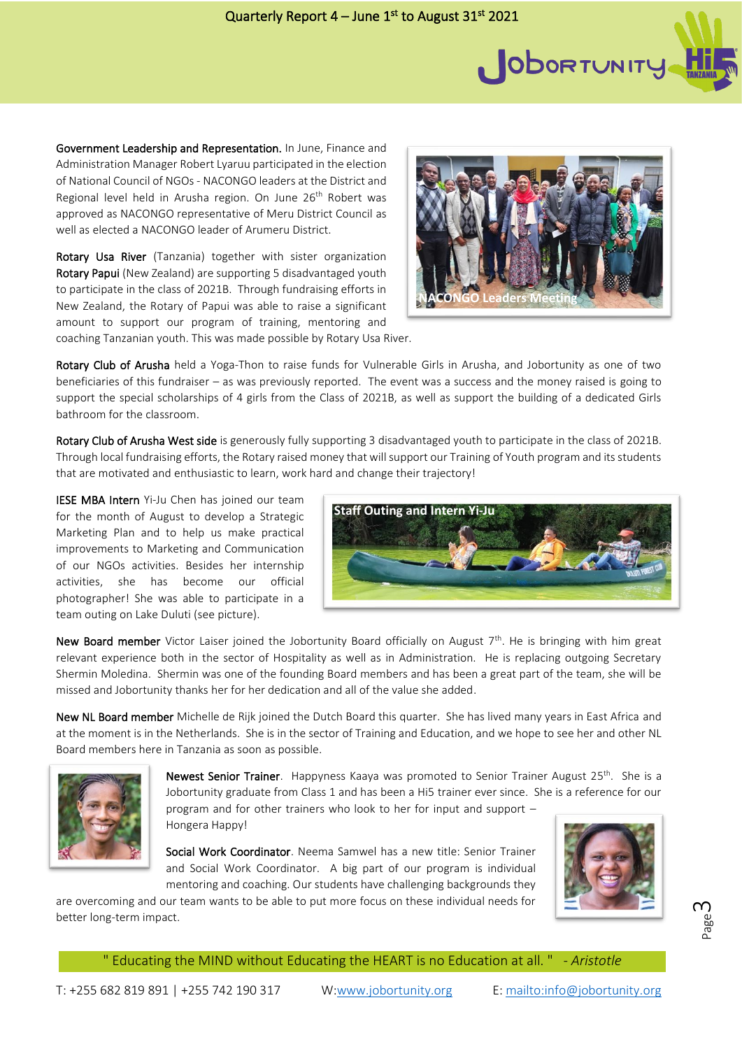

Government Leadership and Representation. In June, Finance and Administration Manager Robert Lyaruu participated in the election of National Council of NGOs - NACONGO leaders at the District and Regional level held in Arusha region. On June 26<sup>th</sup> Robert was approved as NACONGO representative of Meru District Council as well as elected a NACONGO leader of Arumeru District.

Rotary Usa River (Tanzania) together with sister organization Rotary Papui (New Zealand) are supporting 5 disadvantaged youth to participate in the class of 2021B. Through fundraising efforts in New Zealand, the Rotary of Papui was able to raise a significant amount to support our program of training, mentoring and coaching Tanzanian youth. This was made possible by Rotary Usa River.



Rotary Club of Arusha held a Yoga-Thon to raise funds for Vulnerable Girls in Arusha, and Jobortunity as one of two beneficiaries of this fundraiser – as was previously reported. The event was a success and the money raised is going to support the special scholarships of 4 girls from the Class of 2021B, as well as support the building of a dedicated Girls bathroom for the classroom.

Rotary Club of Arusha West side is generously fully supporting 3 disadvantaged youth to participate in the class of 2021B. Through local fundraising efforts, the Rotary raised money that will support our Training of Youth program and its students that are motivated and enthusiastic to learn, work hard and change their trajectory!

IESE MBA Intern Yi-Ju Chen has joined our team for the month of August to develop a Strategic Marketing Plan and to help us make practical improvements to Marketing and Communication of our NGOs activities. Besides her internship activities, she has become our official photographer! She was able to participate in a team outing on Lake Duluti (see picture).



New Board member Victor Laiser joined the Jobortunity Board officially on August 7<sup>th</sup>. He is bringing with him great relevant experience both in the sector of Hospitality as well as in Administration. He is replacing outgoing Secretary Shermin Moledina. Shermin was one of the founding Board members and has been a great part of the team, she will be missed and Jobortunity thanks her for her dedication and all of the value she added.

New NL Board member Michelle de Rijk joined the Dutch Board this quarter. She has lived many years in East Africa and at the moment is in the Netherlands. She is in the sector of Training and Education, and we hope to see her and other NL Board members here in Tanzania as soon as possible.



Newest Senior Trainer. Happyness Kaaya was promoted to Senior Trainer August 25<sup>th</sup>. She is a Jobortunity graduate from Class 1 and has been a Hi5 trainer ever since. She is a reference for our program and for other trainers who look to her for input and support –

Hongera Happy!

Social Work Coordinator. Neema Samwel has a new title: Senior Trainer and Social Work Coordinator. A big part of our program is individual mentoring and coaching. Our students have challenging backgrounds they

are overcoming and our team wants to be able to put more focus on these individual needs for better long-term impact.





" Educating the MIND without Educating the HEART is no Education at all. " - *Aristotle*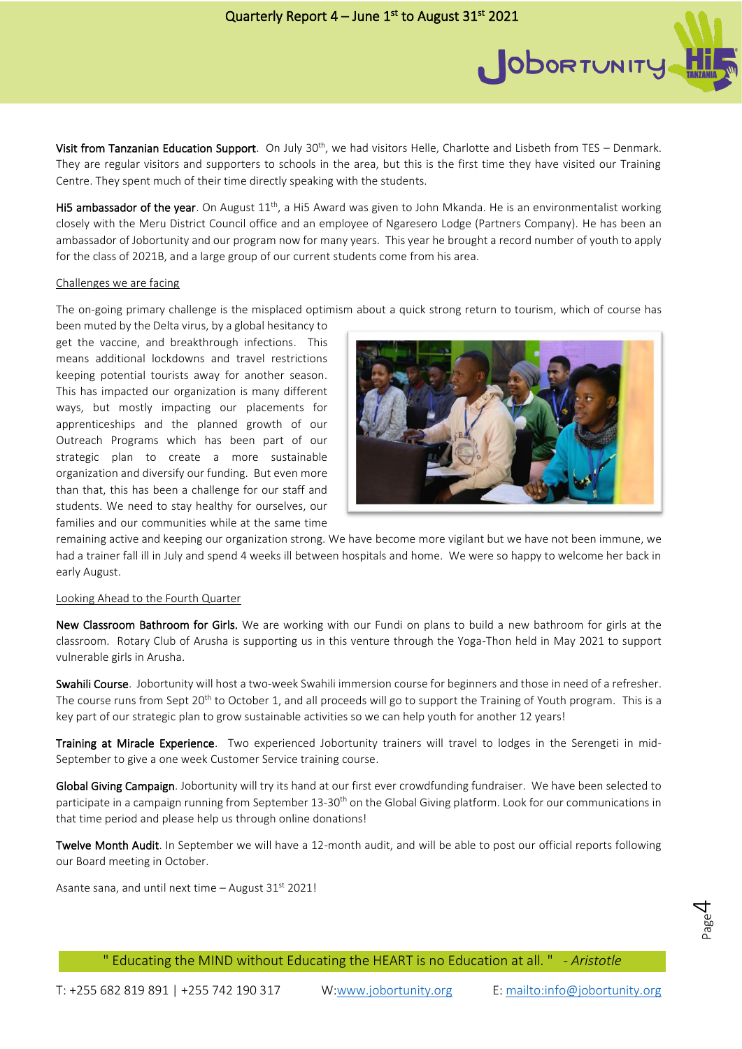Visit from Tanzanian Education Support. On July 30<sup>th</sup>, we had visitors Helle, Charlotte and Lisbeth from TES - Denmark. They are regular visitors and supporters to schools in the area, but this is the first time they have visited our Training Centre. They spent much of their time directly speaking with the students.

Hi5 ambassador of the year. On August  $11<sup>th</sup>$ , a Hi5 Award was given to John Mkanda. He is an environmentalist working closely with the Meru District Council office and an employee of Ngaresero Lodge (Partners Company). He has been an ambassador of Jobortunity and our program now for many years. This year he brought a record number of youth to apply for the class of 2021B, and a large group of our current students come from his area.

## Challenges we are facing

The on-going primary challenge is the misplaced optimism about a quick strong return to tourism, which of course has

been muted by the Delta virus, by a global hesitancy to get the vaccine, and breakthrough infections. This means additional lockdowns and travel restrictions keeping potential tourists away for another season. This has impacted our organization is many different ways, but mostly impacting our placements for apprenticeships and the planned growth of our Outreach Programs which has been part of our strategic plan to create a more sustainable organization and diversify our funding. But even more than that, this has been a challenge for our staff and students. We need to stay healthy for ourselves, our families and our communities while at the same time



ODORTUNITY

remaining active and keeping our organization strong. We have become more vigilant but we have not been immune, we had a trainer fall ill in July and spend 4 weeks ill between hospitals and home. We were so happy to welcome her back in early August.

## Looking Ahead to the Fourth Quarter

New Classroom Bathroom for Girls. We are working with our Fundi on plans to build a new bathroom for girls at the classroom. Rotary Club of Arusha is supporting us in this venture through the Yoga-Thon held in May 2021 to support vulnerable girls in Arusha.

Swahili Course. Jobortunity will host a two-week Swahili immersion course for beginners and those in need of a refresher. The course runs from Sept 20<sup>th</sup> to October 1, and all proceeds will go to support the Training of Youth program. This is a key part of our strategic plan to grow sustainable activities so we can help youth for another 12 years!

Training at Miracle Experience. Two experienced Jobortunity trainers will travel to lodges in the Serengeti in mid-September to give a one week Customer Service training course.

Global Giving Campaign. Jobortunity will try its hand at our first ever crowdfunding fundraiser. We have been selected to participate in a campaign running from September 13-30<sup>th</sup> on the Global Giving platform. Look for our communications in that time period and please help us through online donations!

Twelve Month Audit. In September we will have a 12-month audit, and will be able to post our official reports following our Board meeting in October.

Asante sana, and until next time  $-$  August 31st 2021!